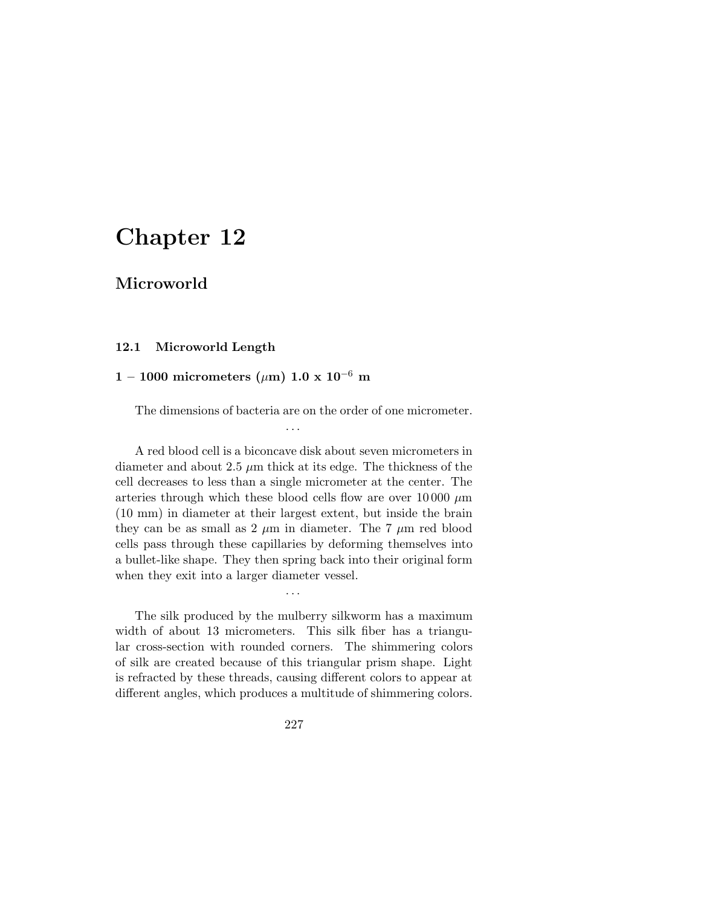# Chapter 12

## Microworld

#### 12.1 Microworld Length

### 1 – 1000 micrometers (μm) 1.0 x 10<sup>-6</sup> m

The dimensions of bacteria are on the order of one micrometer.

. . .

A red blood cell is a biconcave disk about seven micrometers in diameter and about 2.5  $\mu$ m thick at its edge. The thickness of the cell decreases to less than a single micrometer at the center. The arteries through which these blood cells flow are over 10000  $\mu$ m (10 mm) in diameter at their largest extent, but inside the brain they can be as small as 2  $\mu$ m in diameter. The 7  $\mu$ m red blood cells pass through these capillaries by deforming themselves into a bullet-like shape. They then spring back into their original form when they exit into a larger diameter vessel.

The silk produced by the mulberry silkworm has a maximum width of about 13 micrometers. This silk fiber has a triangular cross-section with rounded corners. The shimmering colors of silk are created because of this triangular prism shape. Light is refracted by these threads, causing different colors to appear at different angles, which produces a multitude of shimmering colors.

. . .

227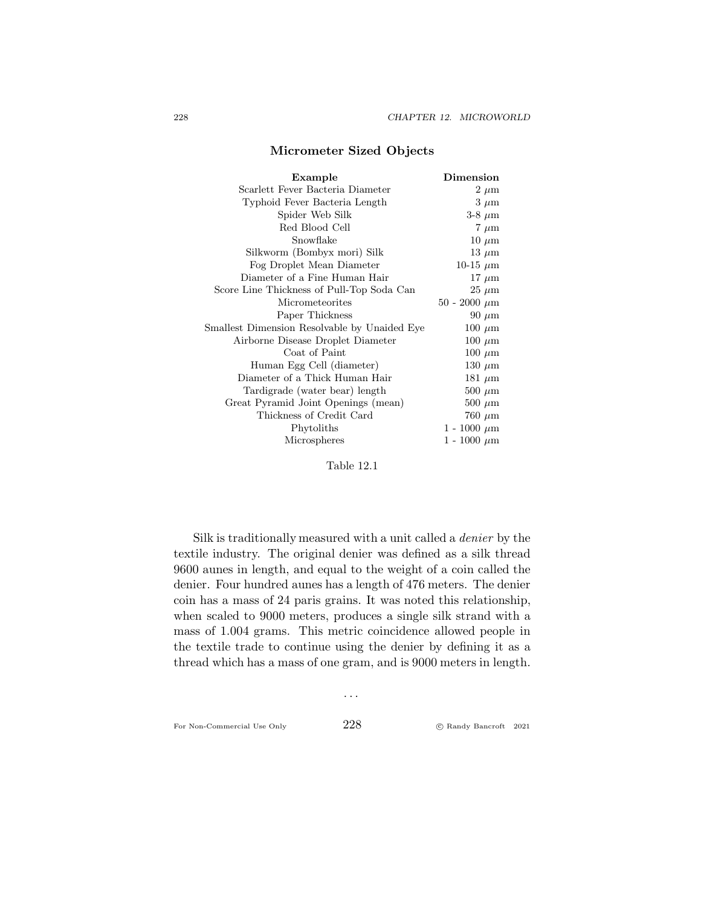| Example                                      | <b>Dimension</b>  |
|----------------------------------------------|-------------------|
| Scarlett Fever Bacteria Diameter             | $2 \mu m$         |
| Typhoid Fever Bacteria Length                | $3 \mu m$         |
| Spider Web Silk                              | $3-8 \mu m$       |
| Red Blood Cell                               | $7 \mu m$         |
| Snowflake                                    | $10 \ \mu m$      |
| Silkworm (Bombyx mori) Silk                  | $13 \mu m$        |
| Fog Droplet Mean Diameter                    | 10-15 $\mu$ m     |
| Diameter of a Fine Human Hair                | $17 \mu m$        |
| Score Line Thickness of Pull-Top Soda Can    | $25 \mu m$        |
| Micrometeorites                              | $50 - 2000 \mu m$ |
| Paper Thickness                              | $90 \mu m$        |
| Smallest Dimension Resolvable by Unaided Eye | $100 \ \mu m$     |
| Airborne Disease Droplet Diameter            | $100 \ \mu m$     |
| Coat of Paint                                | $100 \mu m$       |
| Human Egg Cell (diameter)                    | 130 $\mu$ m       |
| Diameter of a Thick Human Hair               | 181 $\mu$ m       |
| Tardigrade (water bear) length               | $500 \ \mu m$     |
| Great Pyramid Joint Openings (mean)          | $500 \ \mu m$     |
| Thickness of Credit Card                     | $760 \ \mu m$     |
| Phytoliths                                   | $1 - 1000 \mu m$  |
| Microspheres                                 | $1 - 1000 \mu m$  |

#### Micrometer Sized Objects

#### Table 12.1

Silk is traditionally measured with a unit called a denier by the textile industry. The original denier was defined as a silk thread 9600 aunes in length, and equal to the weight of a coin called the denier. Four hundred aunes has a length of 476 meters. The denier coin has a mass of 24 paris grains. It was noted this relationship, when scaled to 9000 meters, produces a single silk strand with a mass of 1.004 grams. This metric coincidence allowed people in the textile trade to continue using the denier by defining it as a thread which has a mass of one gram, and is 9000 meters in length.

For Non-Commercial Use Only 228 (c) Randy Bancroft 2021

. . .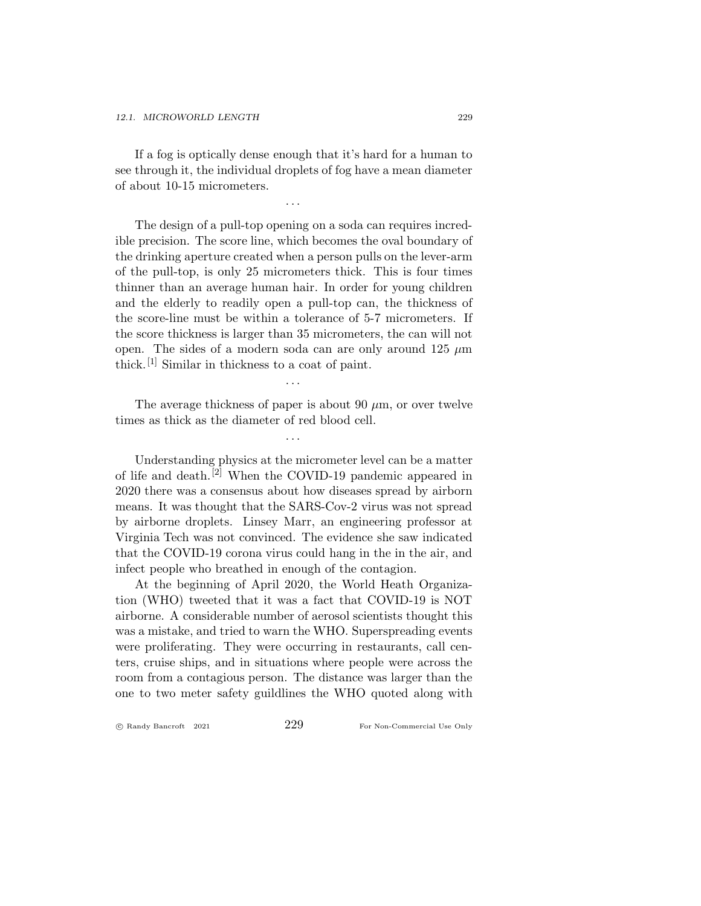If a fog is optically dense enough that it's hard for a human to see through it, the individual droplets of fog have a mean diameter of about 10-15 micrometers.

. . .

The design of a pull-top opening on a soda can requires incredible precision. The score line, which becomes the oval boundary of the drinking aperture created when a person pulls on the lever-arm of the pull-top, is only 25 micrometers thick. This is four times thinner than an average human hair. In order for young children and the elderly to readily open a pull-top can, the thickness of the score-line must be within a tolerance of 5-7 micrometers. If the score thickness is larger than 35 micrometers, the can will not open. The sides of a modern soda can are only around  $125 \mu m$ thick.<sup>[1]</sup> Similar in thickness to a coat of paint.

The average thickness of paper is about 90  $\mu$ m, or over twelve times as thick as the diameter of red blood cell.

. . .

. . .

Understanding physics at the micrometer level can be a matter of life and death.[2] When the COVID-19 pandemic appeared in 2020 there was a consensus about how diseases spread by airborn means. It was thought that the SARS-Cov-2 virus was not spread by airborne droplets. Linsey Marr, an engineering professor at Virginia Tech was not convinced. The evidence she saw indicated that the COVID-19 corona virus could hang in the in the air, and infect people who breathed in enough of the contagion.

At the beginning of April 2020, the World Heath Organization (WHO) tweeted that it was a fact that COVID-19 is NOT airborne. A considerable number of aerosol scientists thought this was a mistake, and tried to warn the WHO. Superspreading events were proliferating. They were occurring in restaurants, call centers, cruise ships, and in situations where people were across the room from a contagious person. The distance was larger than the one to two meter safety guildlines the WHO quoted along with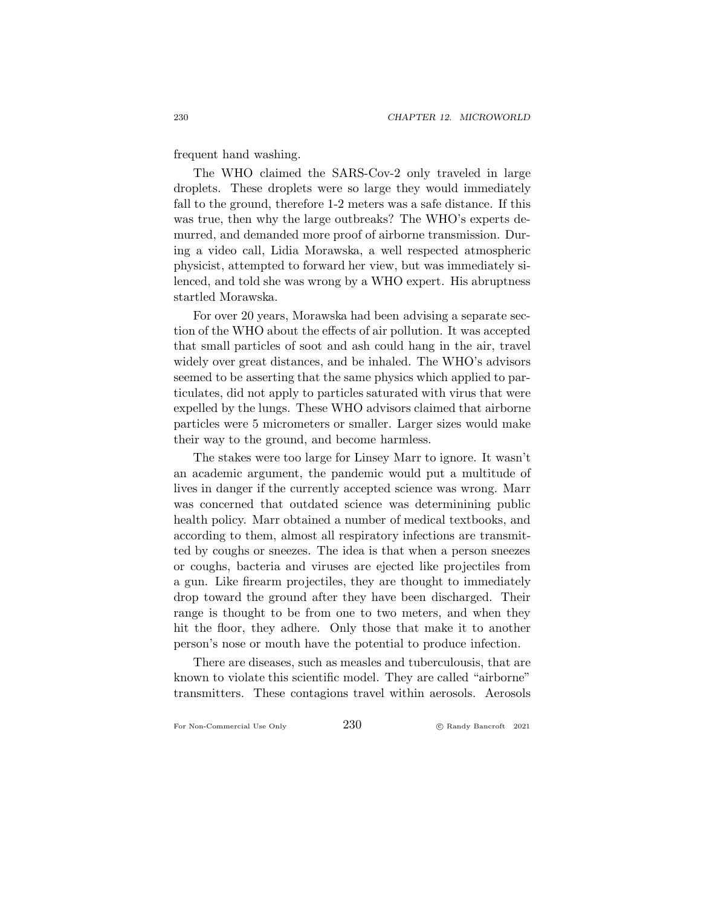frequent hand washing.

The WHO claimed the SARS-Cov-2 only traveled in large droplets. These droplets were so large they would immediately fall to the ground, therefore 1-2 meters was a safe distance. If this was true, then why the large outbreaks? The WHO's experts demurred, and demanded more proof of airborne transmission. During a video call, Lidia Morawska, a well respected atmospheric physicist, attempted to forward her view, but was immediately silenced, and told she was wrong by a WHO expert. His abruptness startled Morawska.

For over 20 years, Morawska had been advising a separate section of the WHO about the effects of air pollution. It was accepted that small particles of soot and ash could hang in the air, travel widely over great distances, and be inhaled. The WHO's advisors seemed to be asserting that the same physics which applied to particulates, did not apply to particles saturated with virus that were expelled by the lungs. These WHO advisors claimed that airborne particles were 5 micrometers or smaller. Larger sizes would make their way to the ground, and become harmless.

The stakes were too large for Linsey Marr to ignore. It wasn't an academic argument, the pandemic would put a multitude of lives in danger if the currently accepted science was wrong. Marr was concerned that outdated science was determinining public health policy. Marr obtained a number of medical textbooks, and according to them, almost all respiratory infections are transmitted by coughs or sneezes. The idea is that when a person sneezes or coughs, bacteria and viruses are ejected like projectiles from a gun. Like firearm projectiles, they are thought to immediately drop toward the ground after they have been discharged. Their range is thought to be from one to two meters, and when they hit the floor, they adhere. Only those that make it to another person's nose or mouth have the potential to produce infection.

There are diseases, such as measles and tuberculousis, that are known to violate this scientific model. They are called "airborne" transmitters. These contagions travel within aerosols. Aerosols

For Non-Commercial Use Only 230 (c) Randy Bancroft 2021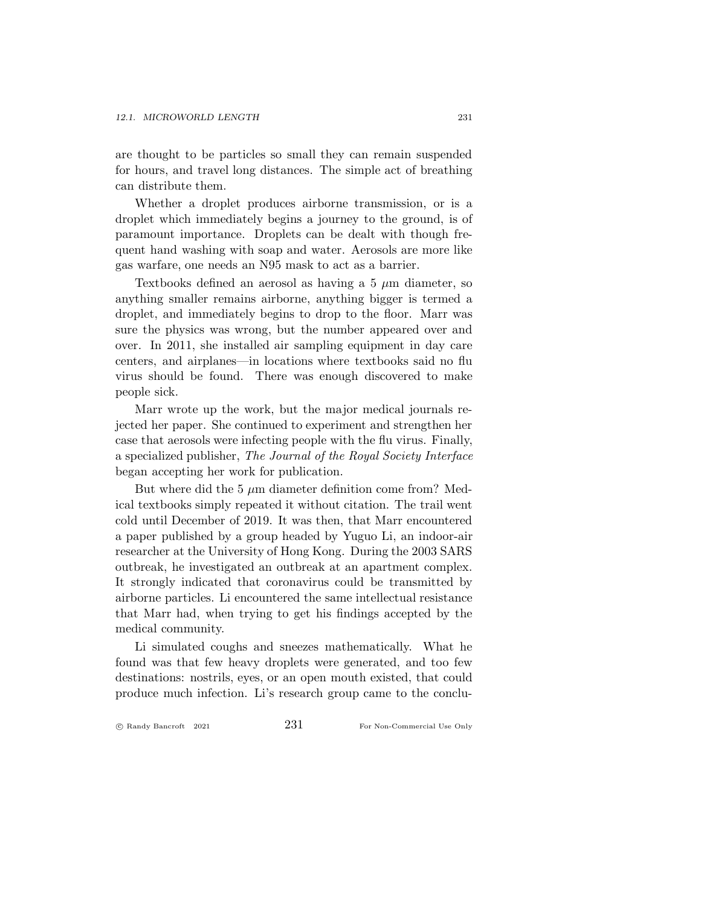are thought to be particles so small they can remain suspended for hours, and travel long distances. The simple act of breathing can distribute them.

Whether a droplet produces airborne transmission, or is a droplet which immediately begins a journey to the ground, is of paramount importance. Droplets can be dealt with though frequent hand washing with soap and water. Aerosols are more like gas warfare, one needs an N95 mask to act as a barrier.

Textbooks defined an aerosol as having a  $5 \mu m$  diameter, so anything smaller remains airborne, anything bigger is termed a droplet, and immediately begins to drop to the floor. Marr was sure the physics was wrong, but the number appeared over and over. In 2011, she installed air sampling equipment in day care centers, and airplanes—in locations where textbooks said no flu virus should be found. There was enough discovered to make people sick.

Marr wrote up the work, but the major medical journals rejected her paper. She continued to experiment and strengthen her case that aerosols were infecting people with the flu virus. Finally, a specialized publisher, The Journal of the Royal Society Interface began accepting her work for publication.

But where did the  $5 \mu m$  diameter definition come from? Medical textbooks simply repeated it without citation. The trail went cold until December of 2019. It was then, that Marr encountered a paper published by a group headed by Yuguo Li, an indoor-air researcher at the University of Hong Kong. During the 2003 SARS outbreak, he investigated an outbreak at an apartment complex. It strongly indicated that coronavirus could be transmitted by airborne particles. Li encountered the same intellectual resistance that Marr had, when trying to get his findings accepted by the medical community.

Li simulated coughs and sneezes mathematically. What he found was that few heavy droplets were generated, and too few destinations: nostrils, eyes, or an open mouth existed, that could produce much infection. Li's research group came to the conclu-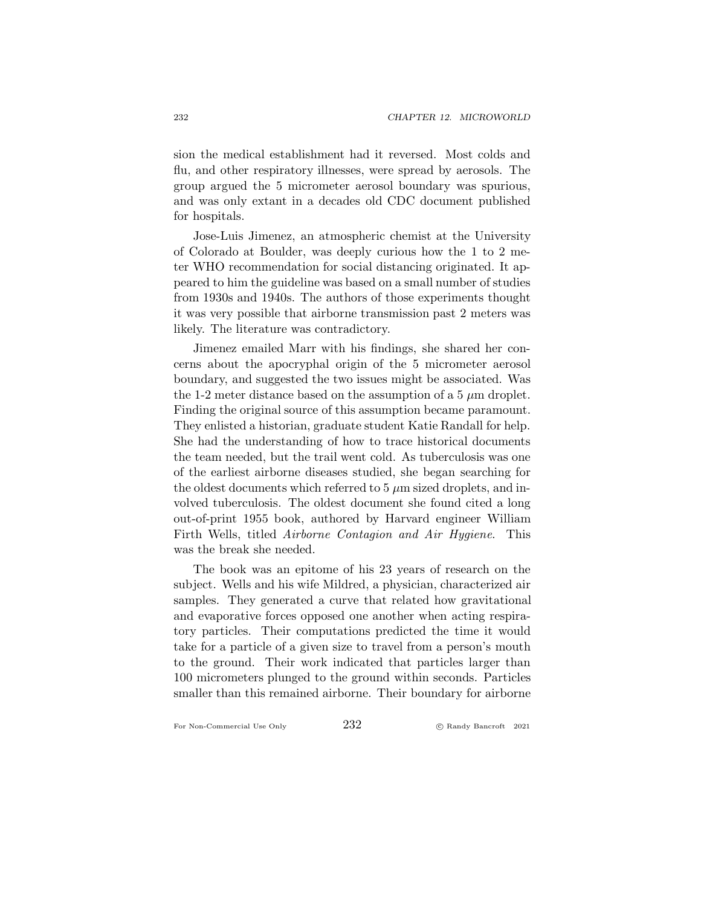sion the medical establishment had it reversed. Most colds and flu, and other respiratory illnesses, were spread by aerosols. The group argued the 5 micrometer aerosol boundary was spurious, and was only extant in a decades old CDC document published for hospitals.

Jose-Luis Jimenez, an atmospheric chemist at the University of Colorado at Boulder, was deeply curious how the 1 to 2 meter WHO recommendation for social distancing originated. It appeared to him the guideline was based on a small number of studies from 1930s and 1940s. The authors of those experiments thought it was very possible that airborne transmission past 2 meters was likely. The literature was contradictory.

Jimenez emailed Marr with his findings, she shared her concerns about the apocryphal origin of the 5 micrometer aerosol boundary, and suggested the two issues might be associated. Was the 1-2 meter distance based on the assumption of a 5  $\mu$ m droplet. Finding the original source of this assumption became paramount. They enlisted a historian, graduate student Katie Randall for help. She had the understanding of how to trace historical documents the team needed, but the trail went cold. As tuberculosis was one of the earliest airborne diseases studied, she began searching for the oldest documents which referred to  $5 \mu m$  sized droplets, and involved tuberculosis. The oldest document she found cited a long out-of-print 1955 book, authored by Harvard engineer William Firth Wells, titled Airborne Contagion and Air Hygiene. This was the break she needed.

The book was an epitome of his 23 years of research on the subject. Wells and his wife Mildred, a physician, characterized air samples. They generated a curve that related how gravitational and evaporative forces opposed one another when acting respiratory particles. Their computations predicted the time it would take for a particle of a given size to travel from a person's mouth to the ground. Their work indicated that particles larger than 100 micrometers plunged to the ground within seconds. Particles smaller than this remained airborne. Their boundary for airborne

For Non-Commercial Use Only 232 (c) Randy Bancroft 2021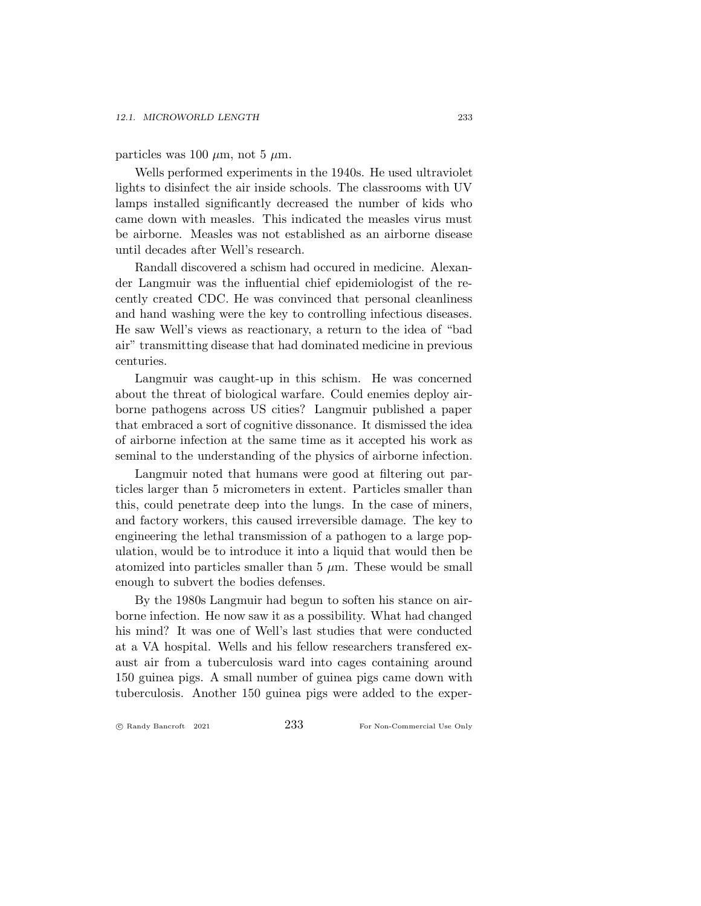particles was 100  $\mu$ m, not 5  $\mu$ m.

Wells performed experiments in the 1940s. He used ultraviolet lights to disinfect the air inside schools. The classrooms with UV lamps installed significantly decreased the number of kids who came down with measles. This indicated the measles virus must be airborne. Measles was not established as an airborne disease until decades after Well's research.

Randall discovered a schism had occured in medicine. Alexander Langmuir was the influential chief epidemiologist of the recently created CDC. He was convinced that personal cleanliness and hand washing were the key to controlling infectious diseases. He saw Well's views as reactionary, a return to the idea of "bad air" transmitting disease that had dominated medicine in previous centuries.

Langmuir was caught-up in this schism. He was concerned about the threat of biological warfare. Could enemies deploy airborne pathogens across US cities? Langmuir published a paper that embraced a sort of cognitive dissonance. It dismissed the idea of airborne infection at the same time as it accepted his work as seminal to the understanding of the physics of airborne infection.

Langmuir noted that humans were good at filtering out particles larger than 5 micrometers in extent. Particles smaller than this, could penetrate deep into the lungs. In the case of miners, and factory workers, this caused irreversible damage. The key to engineering the lethal transmission of a pathogen to a large population, would be to introduce it into a liquid that would then be atomized into particles smaller than  $5 \mu m$ . These would be small enough to subvert the bodies defenses.

By the 1980s Langmuir had begun to soften his stance on airborne infection. He now saw it as a possibility. What had changed his mind? It was one of Well's last studies that were conducted at a VA hospital. Wells and his fellow researchers transfered exaust air from a tuberculosis ward into cages containing around 150 guinea pigs. A small number of guinea pigs came down with tuberculosis. Another 150 guinea pigs were added to the exper-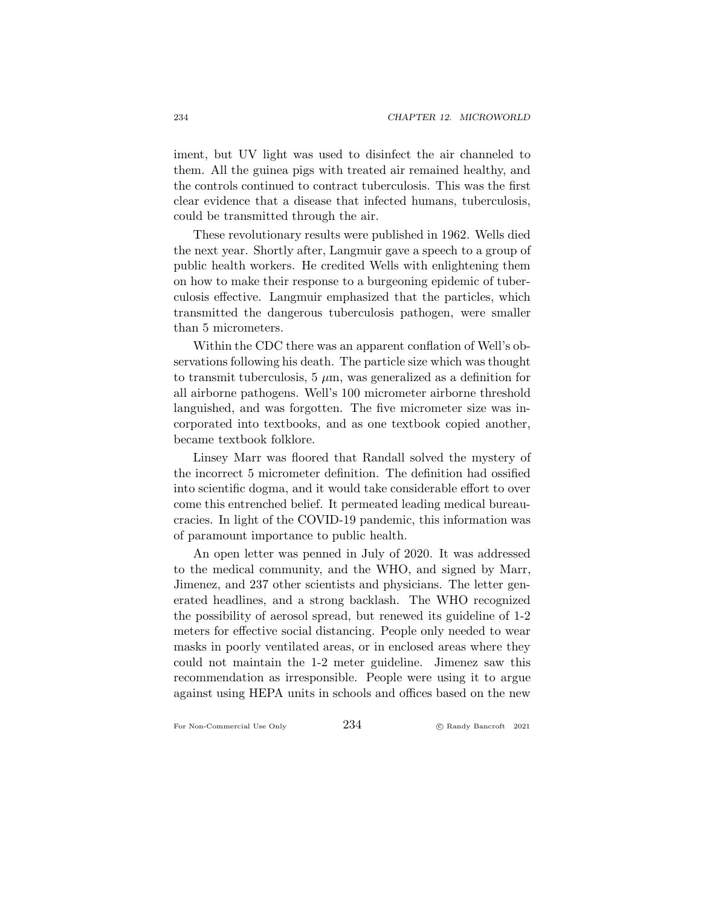iment, but UV light was used to disinfect the air channeled to them. All the guinea pigs with treated air remained healthy, and the controls continued to contract tuberculosis. This was the first clear evidence that a disease that infected humans, tuberculosis, could be transmitted through the air.

These revolutionary results were published in 1962. Wells died the next year. Shortly after, Langmuir gave a speech to a group of public health workers. He credited Wells with enlightening them on how to make their response to a burgeoning epidemic of tuberculosis effective. Langmuir emphasized that the particles, which transmitted the dangerous tuberculosis pathogen, were smaller than 5 micrometers.

Within the CDC there was an apparent conflation of Well's observations following his death. The particle size which was thought to transmit tuberculosis,  $5 \mu m$ , was generalized as a definition for all airborne pathogens. Well's 100 micrometer airborne threshold languished, and was forgotten. The five micrometer size was incorporated into textbooks, and as one textbook copied another, became textbook folklore.

Linsey Marr was floored that Randall solved the mystery of the incorrect 5 micrometer definition. The definition had ossified into scientific dogma, and it would take considerable effort to over come this entrenched belief. It permeated leading medical bureaucracies. In light of the COVID-19 pandemic, this information was of paramount importance to public health.

An open letter was penned in July of 2020. It was addressed to the medical community, and the WHO, and signed by Marr, Jimenez, and 237 other scientists and physicians. The letter generated headlines, and a strong backlash. The WHO recognized the possibility of aerosol spread, but renewed its guideline of 1-2 meters for effective social distancing. People only needed to wear masks in poorly ventilated areas, or in enclosed areas where they could not maintain the 1-2 meter guideline. Jimenez saw this recommendation as irresponsible. People were using it to argue against using HEPA units in schools and offices based on the new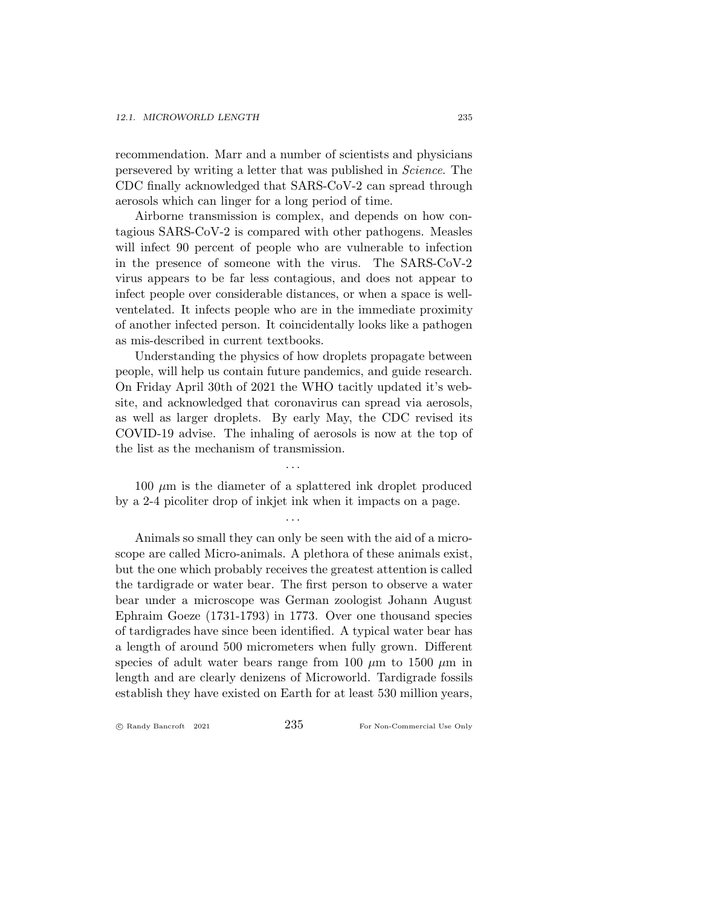recommendation. Marr and a number of scientists and physicians persevered by writing a letter that was published in Science. The CDC finally acknowledged that SARS-CoV-2 can spread through aerosols which can linger for a long period of time.

Airborne transmission is complex, and depends on how contagious SARS-CoV-2 is compared with other pathogens. Measles will infect 90 percent of people who are vulnerable to infection in the presence of someone with the virus. The SARS-CoV-2 virus appears to be far less contagious, and does not appear to infect people over considerable distances, or when a space is wellventelated. It infects people who are in the immediate proximity of another infected person. It coincidentally looks like a pathogen as mis-described in current textbooks.

Understanding the physics of how droplets propagate between people, will help us contain future pandemics, and guide research. On Friday April 30th of 2021 the WHO tacitly updated it's website, and acknowledged that coronavirus can spread via aerosols, as well as larger droplets. By early May, the CDC revised its COVID-19 advise. The inhaling of aerosols is now at the top of the list as the mechanism of transmission.

 $100 \mu m$  is the diameter of a splattered ink droplet produced by a 2-4 picoliter drop of inkjet ink when it impacts on a page.

. . .

. . .

Animals so small they can only be seen with the aid of a microscope are called Micro-animals. A plethora of these animals exist, but the one which probably receives the greatest attention is called the tardigrade or water bear. The first person to observe a water bear under a microscope was German zoologist Johann August Ephraim Goeze (1731-1793) in 1773. Over one thousand species of tardigrades have since been identified. A typical water bear has a length of around 500 micrometers when fully grown. Different species of adult water bears range from 100  $\mu$ m to 1500  $\mu$ m in length and are clearly denizens of Microworld. Tardigrade fossils establish they have existed on Earth for at least 530 million years,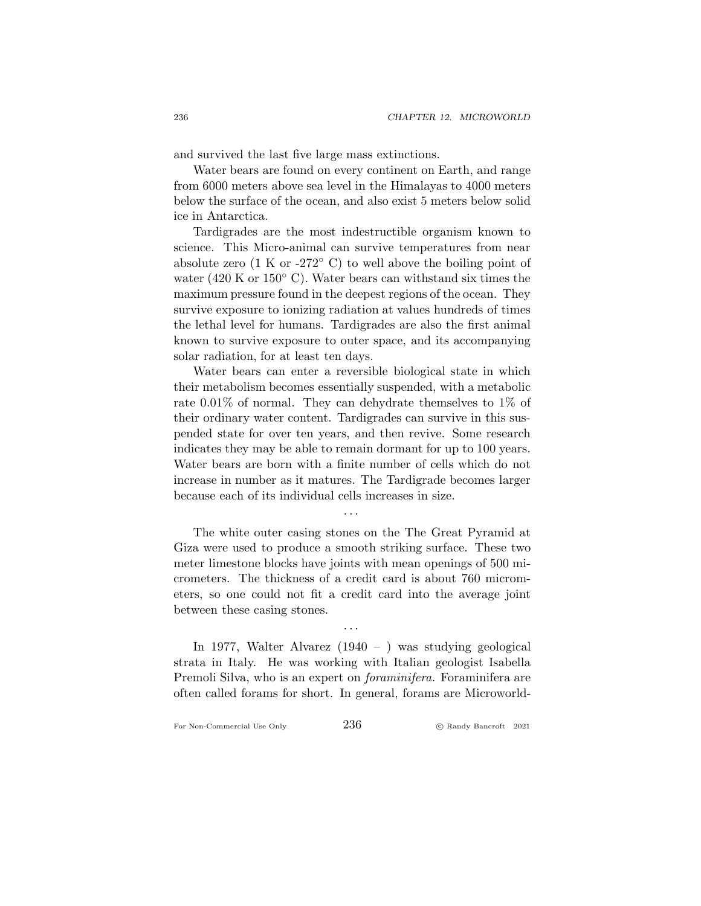and survived the last five large mass extinctions.

Water bears are found on every continent on Earth, and range from 6000 meters above sea level in the Himalayas to 4000 meters below the surface of the ocean, and also exist 5 meters below solid ice in Antarctica.

Tardigrades are the most indestructible organism known to science. This Micro-animal can survive temperatures from near absolute zero  $(1 \text{ K or } -272^{\circ} \text{ C})$  to well above the boiling point of water (420 K or  $150^{\circ}$  C). Water bears can withstand six times the maximum pressure found in the deepest regions of the ocean. They survive exposure to ionizing radiation at values hundreds of times the lethal level for humans. Tardigrades are also the first animal known to survive exposure to outer space, and its accompanying solar radiation, for at least ten days.

Water bears can enter a reversible biological state in which their metabolism becomes essentially suspended, with a metabolic rate 0.01% of normal. They can dehydrate themselves to 1% of their ordinary water content. Tardigrades can survive in this suspended state for over ten years, and then revive. Some research indicates they may be able to remain dormant for up to 100 years. Water bears are born with a finite number of cells which do not increase in number as it matures. The Tardigrade becomes larger because each of its individual cells increases in size.

. . .

The white outer casing stones on the The Great Pyramid at Giza were used to produce a smooth striking surface. These two meter limestone blocks have joints with mean openings of 500 micrometers. The thickness of a credit card is about 760 micrometers, so one could not fit a credit card into the average joint between these casing stones.

. . .

In 1977, Walter Alvarez (1940 – ) was studying geological strata in Italy. He was working with Italian geologist Isabella Premoli Silva, who is an expert on foraminifera. Foraminifera are often called forams for short. In general, forams are Microworld-

For Non-Commercial Use Only 236 (C) Randy Bancroft 2021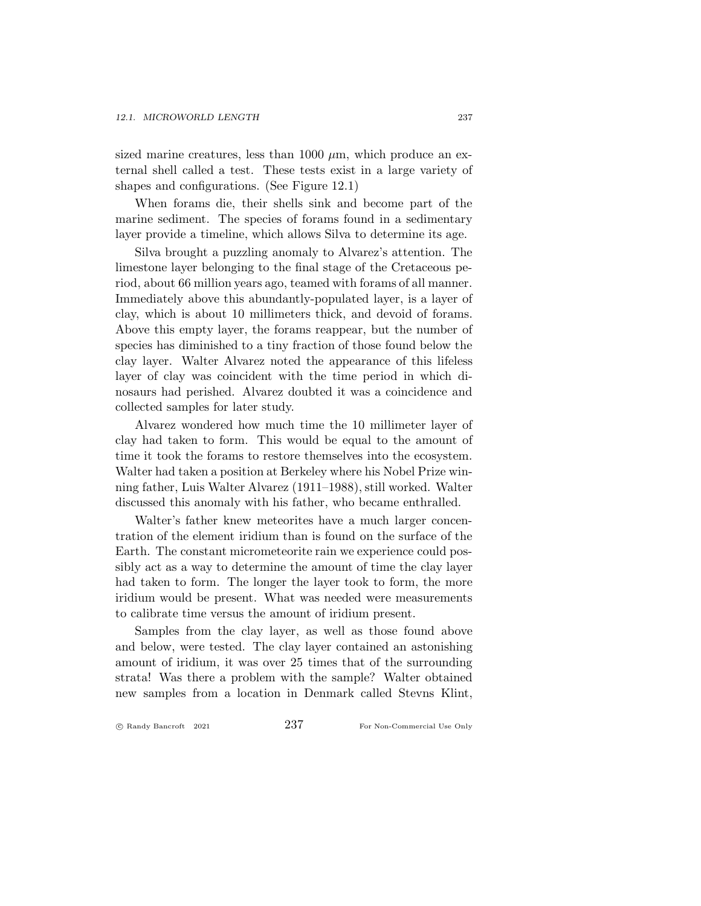sized marine creatures, less than 1000  $\mu$ m, which produce an external shell called a test. These tests exist in a large variety of shapes and configurations. (See Figure 12.1)

When forams die, their shells sink and become part of the marine sediment. The species of forams found in a sedimentary layer provide a timeline, which allows Silva to determine its age.

Silva brought a puzzling anomaly to Alvarez's attention. The limestone layer belonging to the final stage of the Cretaceous period, about 66 million years ago, teamed with forams of all manner. Immediately above this abundantly-populated layer, is a layer of clay, which is about 10 millimeters thick, and devoid of forams. Above this empty layer, the forams reappear, but the number of species has diminished to a tiny fraction of those found below the clay layer. Walter Alvarez noted the appearance of this lifeless layer of clay was coincident with the time period in which dinosaurs had perished. Alvarez doubted it was a coincidence and collected samples for later study.

Alvarez wondered how much time the 10 millimeter layer of clay had taken to form. This would be equal to the amount of time it took the forams to restore themselves into the ecosystem. Walter had taken a position at Berkeley where his Nobel Prize winning father, Luis Walter Alvarez (1911–1988), still worked. Walter discussed this anomaly with his father, who became enthralled.

Walter's father knew meteorites have a much larger concentration of the element iridium than is found on the surface of the Earth. The constant micrometeorite rain we experience could possibly act as a way to determine the amount of time the clay layer had taken to form. The longer the layer took to form, the more iridium would be present. What was needed were measurements to calibrate time versus the amount of iridium present.

Samples from the clay layer, as well as those found above and below, were tested. The clay layer contained an astonishing amount of iridium, it was over 25 times that of the surrounding strata! Was there a problem with the sample? Walter obtained new samples from a location in Denmark called Stevns Klint,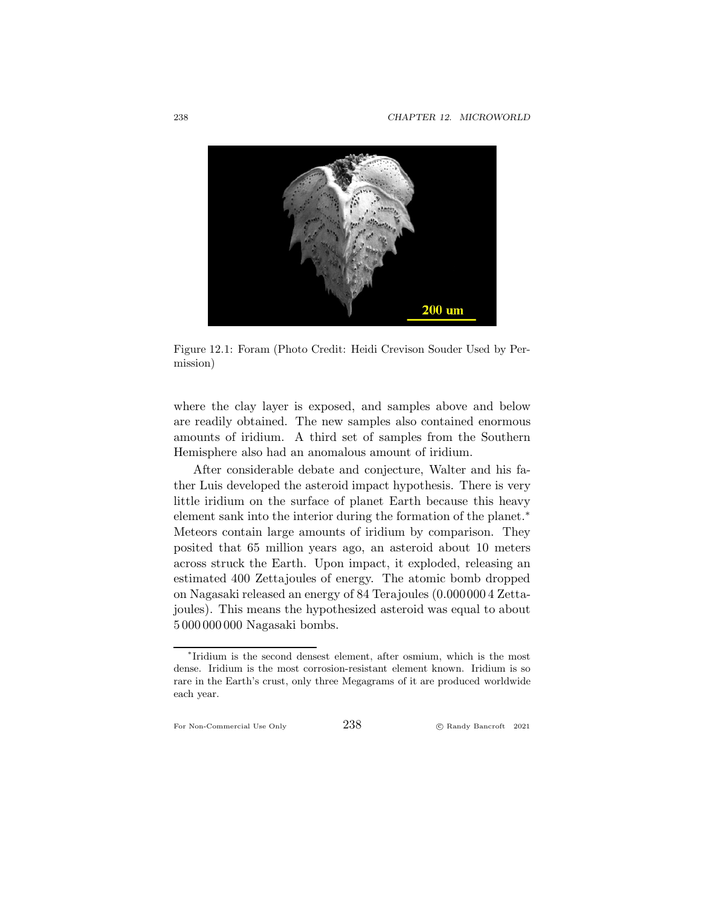

Figure 12.1: Foram (Photo Credit: Heidi Crevison Souder Used by Permission)

where the clay layer is exposed, and samples above and below are readily obtained. The new samples also contained enormous amounts of iridium. A third set of samples from the Southern Hemisphere also had an anomalous amount of iridium.

After considerable debate and conjecture, Walter and his father Luis developed the asteroid impact hypothesis. There is very little iridium on the surface of planet Earth because this heavy element sank into the interior during the formation of the planet.<sup>∗</sup> Meteors contain large amounts of iridium by comparison. They posited that 65 million years ago, an asteroid about 10 meters across struck the Earth. Upon impact, it exploded, releasing an estimated 400 Zettajoules of energy. The atomic bomb dropped on Nagasaki released an energy of 84 Terajoules (0.000 000 4 Zettajoules). This means the hypothesized asteroid was equal to about 5 000 000 000 Nagasaki bombs.

For Non-Commercial Use Only 238 (c) Randy Bancroft 2021

<sup>∗</sup> Iridium is the second densest element, after osmium, which is the most dense. Iridium is the most corrosion-resistant element known. Iridium is so rare in the Earth's crust, only three Megagrams of it are produced worldwide each year.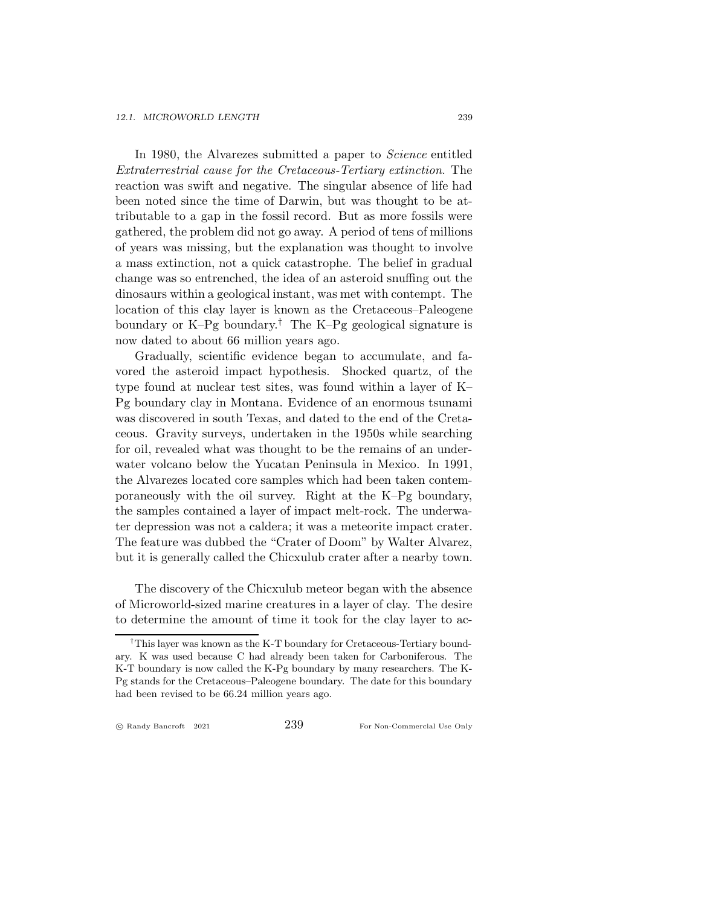In 1980, the Alvarezes submitted a paper to *Science* entitled Extraterrestrial cause for the Cretaceous-Tertiary extinction. The reaction was swift and negative. The singular absence of life had been noted since the time of Darwin, but was thought to be attributable to a gap in the fossil record. But as more fossils were gathered, the problem did not go away. A period of tens of millions of years was missing, but the explanation was thought to involve a mass extinction, not a quick catastrophe. The belief in gradual change was so entrenched, the idea of an asteroid snuffing out the dinosaurs within a geological instant, was met with contempt. The location of this clay layer is known as the Cretaceous–Paleogene boundary or K–Pg boundary.<sup>†</sup> The K–Pg geological signature is now dated to about 66 million years ago.

Gradually, scientific evidence began to accumulate, and favored the asteroid impact hypothesis. Shocked quartz, of the type found at nuclear test sites, was found within a layer of K– Pg boundary clay in Montana. Evidence of an enormous tsunami was discovered in south Texas, and dated to the end of the Cretaceous. Gravity surveys, undertaken in the 1950s while searching for oil, revealed what was thought to be the remains of an underwater volcano below the Yucatan Peninsula in Mexico. In 1991, the Alvarezes located core samples which had been taken contemporaneously with the oil survey. Right at the K–Pg boundary, the samples contained a layer of impact melt-rock. The underwater depression was not a caldera; it was a meteorite impact crater. The feature was dubbed the "Crater of Doom" by Walter Alvarez, but it is generally called the Chicxulub crater after a nearby town.

The discovery of the Chicxulub meteor began with the absence of Microworld-sized marine creatures in a layer of clay. The desire to determine the amount of time it took for the clay layer to ac-

<sup>†</sup>This layer was known as the K-T boundary for Cretaceous-Tertiary boundary. K was used because C had already been taken for Carboniferous. The K-T boundary is now called the K-Pg boundary by many researchers. The K-Pg stands for the Cretaceous–Paleogene boundary. The date for this boundary had been revised to be 66.24 million years ago.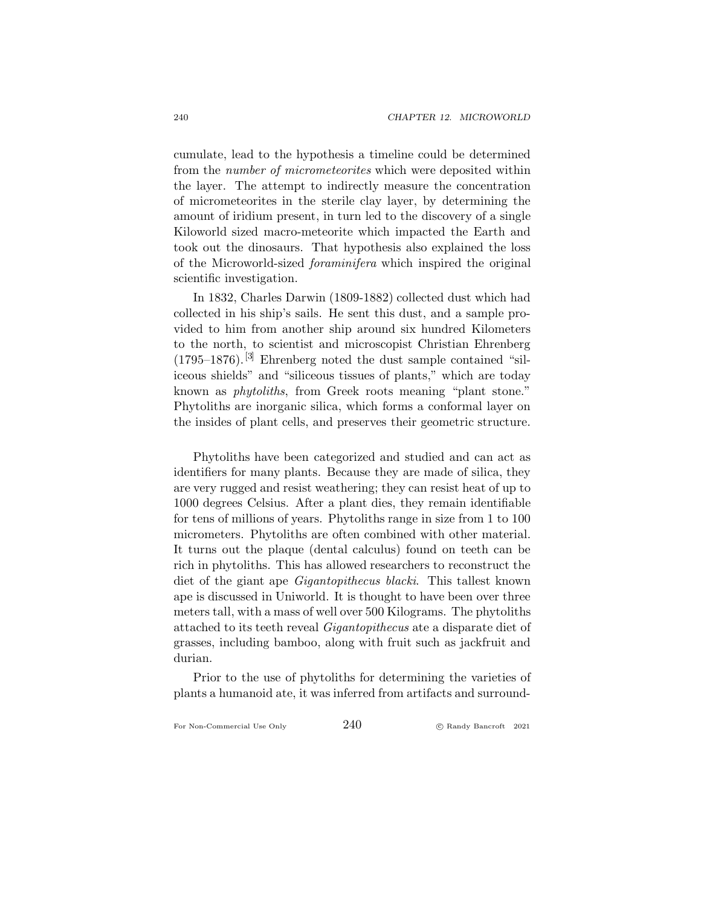cumulate, lead to the hypothesis a timeline could be determined from the number of micrometeorites which were deposited within the layer. The attempt to indirectly measure the concentration of micrometeorites in the sterile clay layer, by determining the amount of iridium present, in turn led to the discovery of a single Kiloworld sized macro-meteorite which impacted the Earth and took out the dinosaurs. That hypothesis also explained the loss of the Microworld-sized foraminifera which inspired the original scientific investigation.

In 1832, Charles Darwin (1809-1882) collected dust which had collected in his ship's sails. He sent this dust, and a sample provided to him from another ship around six hundred Kilometers to the north, to scientist and microscopist Christian Ehrenberg  $(1795-1876).$ <sup>[3]</sup> Ehrenberg noted the dust sample contained "siliceous shields" and "siliceous tissues of plants," which are today known as phytoliths, from Greek roots meaning "plant stone." Phytoliths are inorganic silica, which forms a conformal layer on the insides of plant cells, and preserves their geometric structure.

Phytoliths have been categorized and studied and can act as identifiers for many plants. Because they are made of silica, they are very rugged and resist weathering; they can resist heat of up to 1000 degrees Celsius. After a plant dies, they remain identifiable for tens of millions of years. Phytoliths range in size from 1 to 100 micrometers. Phytoliths are often combined with other material. It turns out the plaque (dental calculus) found on teeth can be rich in phytoliths. This has allowed researchers to reconstruct the diet of the giant ape Gigantopithecus blacki. This tallest known ape is discussed in Uniworld. It is thought to have been over three meters tall, with a mass of well over 500 Kilograms. The phytoliths attached to its teeth reveal Gigantopithecus ate a disparate diet of grasses, including bamboo, along with fruit such as jackfruit and durian.

Prior to the use of phytoliths for determining the varieties of plants a humanoid ate, it was inferred from artifacts and surround-

For Non-Commercial Use Only 240 (C) Randy Bancroft 2021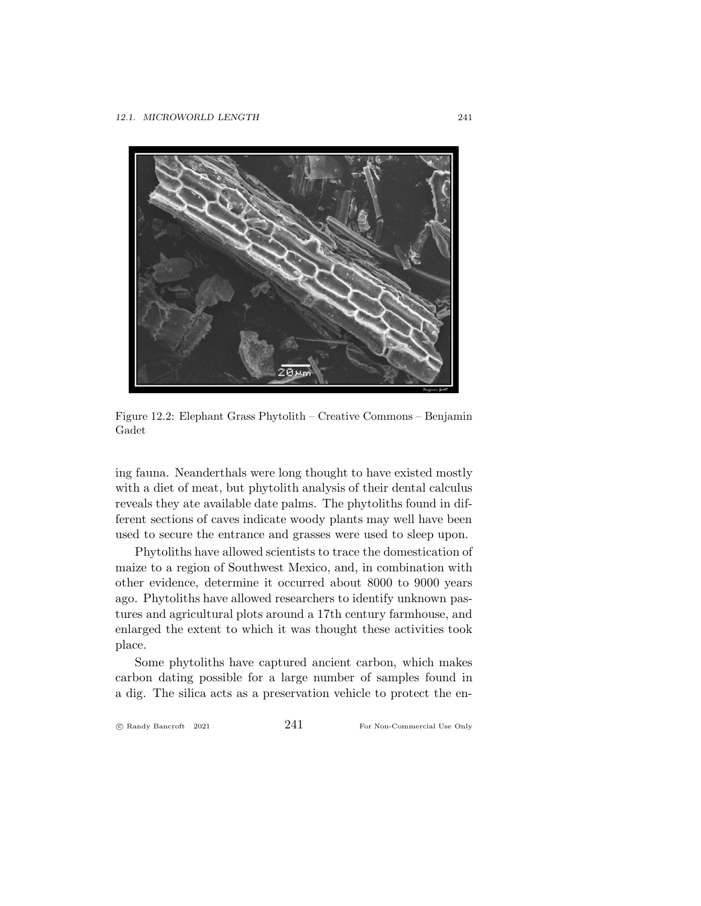

Figure 12.2: Elephant Grass Phytolith – Creative Commons – Benjamin Gadet

ing fauna. Neanderthals were long thought to have existed mostly with a diet of meat, but phytolith analysis of their dental calculus reveals they ate available date palms. The phytoliths found in different sections of caves indicate woody plants may well have been used to secure the entrance and grasses were used to sleep upon.

Phytoliths have allowed scientists to trace the domestication of maize to a region of Southwest Mexico, and, in combination with other evidence, determine it occurred about 8000 to 9000 years ago. Phytoliths have allowed researchers to identify unknown pastures and agricultural plots around a 17th century farmhouse, and enlarged the extent to which it was thought these activities took place.

Some phytoliths have captured ancient carbon, which makes carbon dating possible for a large number of samples found in a dig. The silica acts as a preservation vehicle to protect the en-

 $\circ$  Randy Bancroft 2021 241 For Non-Commercial Use Only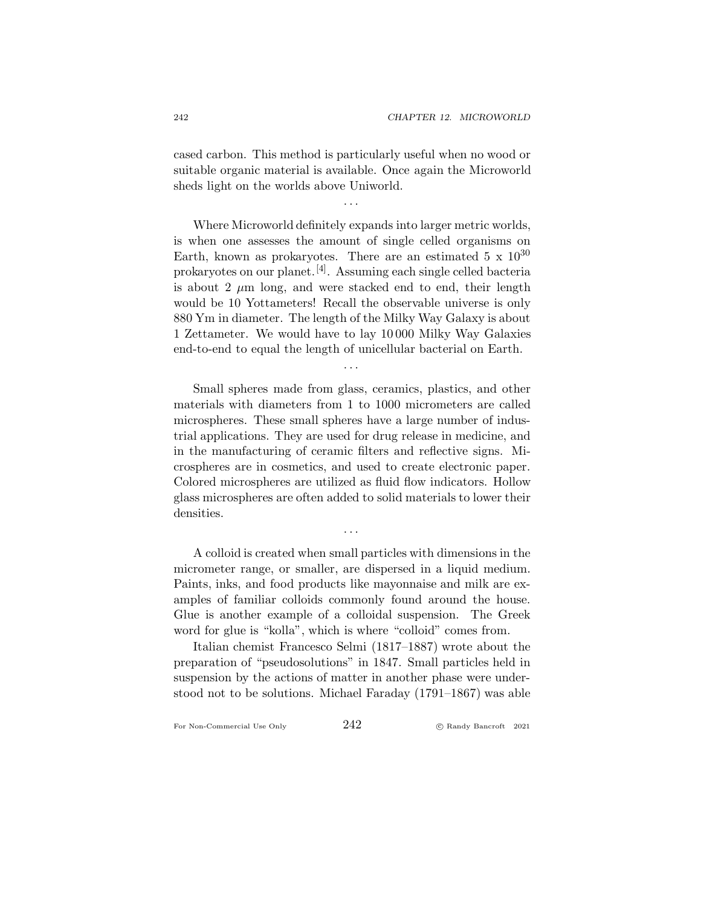cased carbon. This method is particularly useful when no wood or suitable organic material is available. Once again the Microworld sheds light on the worlds above Uniworld.

. . .

Where Microworld definitely expands into larger metric worlds, is when one assesses the amount of single celled organisms on Earth, known as prokaryotes. There are an estimated  $5 \times 10^{30}$ prokaryotes on our planet.[4]. Assuming each single celled bacteria is about 2  $\mu$ m long, and were stacked end to end, their length would be 10 Yottameters! Recall the observable universe is only 880 Ym in diameter. The length of the Milky Way Galaxy is about 1 Zettameter. We would have to lay 10 000 Milky Way Galaxies end-to-end to equal the length of unicellular bacterial on Earth.

. . .

Small spheres made from glass, ceramics, plastics, and other materials with diameters from 1 to 1000 micrometers are called microspheres. These small spheres have a large number of industrial applications. They are used for drug release in medicine, and in the manufacturing of ceramic filters and reflective signs. Microspheres are in cosmetics, and used to create electronic paper. Colored microspheres are utilized as fluid flow indicators. Hollow glass microspheres are often added to solid materials to lower their densities.

A colloid is created when small particles with dimensions in the micrometer range, or smaller, are dispersed in a liquid medium. Paints, inks, and food products like mayonnaise and milk are examples of familiar colloids commonly found around the house. Glue is another example of a colloidal suspension. The Greek word for glue is "kolla", which is where "colloid" comes from.

. . .

Italian chemist Francesco Selmi (1817–1887) wrote about the preparation of "pseudosolutions" in 1847. Small particles held in suspension by the actions of matter in another phase were understood not to be solutions. Michael Faraday (1791–1867) was able

For Non-Commercial Use Only 242 (C) Randy Bancroft 2021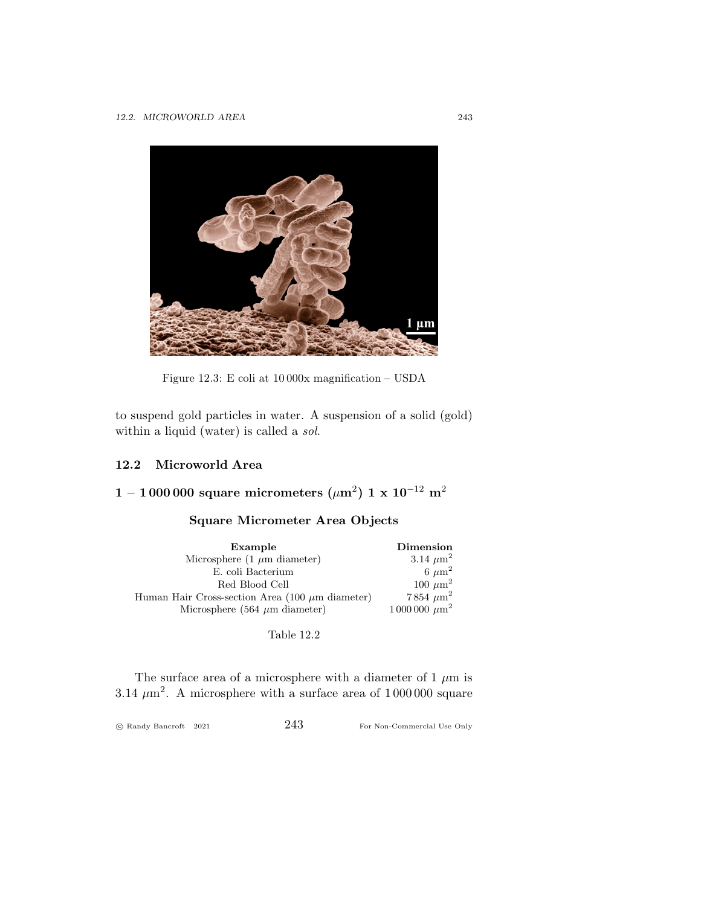

Figure 12.3: E coli at 10 000x magnification – USDA

to suspend gold particles in water. A suspension of a solid (gold) within a liquid (water) is called a sol.

#### 12.2 Microworld Area

## $1$  –  $1\,000\,000$  square micrometers  $(\mu\mathrm{m}^2)\,$   $1\,$  x  $\,10^{-12}\,\mathrm{m}^2$

#### Square Micrometer Area Objects

| Example                                              | Dimension                 |
|------------------------------------------------------|---------------------------|
| Microsphere $(1 \mu m \text{ diameter})$             | 3.14 $\mu$ m <sup>2</sup> |
| E. coli Bacterium                                    | $6 \mu m^2$               |
| Red Blood Cell                                       | $100 \ \mu m^2$           |
| Human Hair Cross-section Area (100 $\mu$ m diameter) | 7854 $\mu$ m <sup>2</sup> |
| Microsphere (564 $\mu$ m diameter)                   | $1000000 \ \mu m^2$       |

#### Table 12.2

The surface area of a microsphere with a diameter of 1  $\mu$ m is 3.14  $\mu$ m<sup>2</sup>. A microsphere with a surface area of 1000000 square

 $\textcircled{2}$  Randy Bancroft 2021  $243$  For Non-Commercial Use Only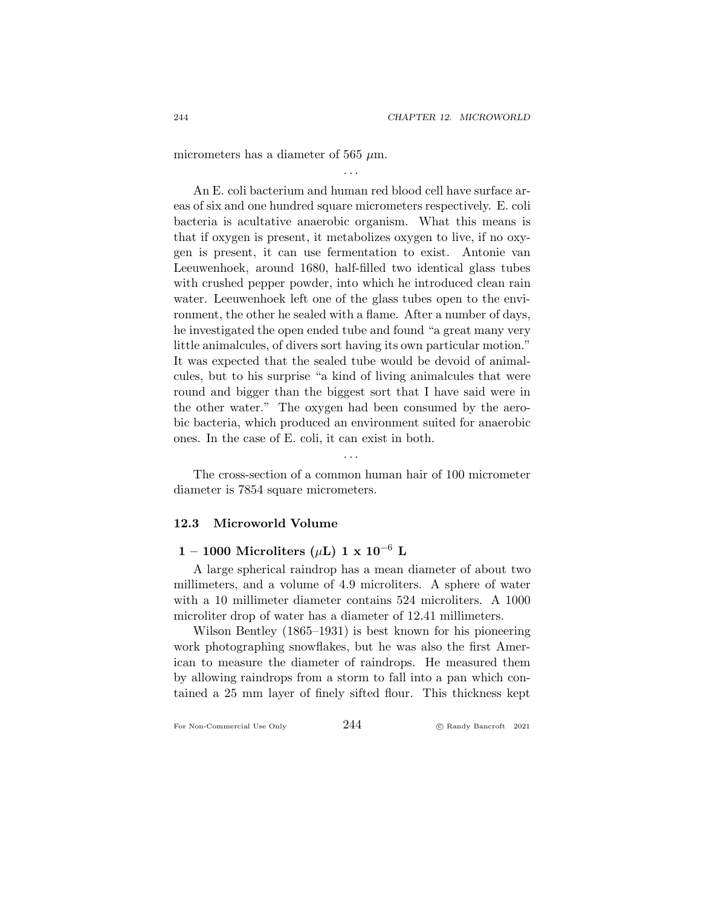micrometers has a diameter of 565  $\mu$ m.

An E. coli bacterium and human red blood cell have surface areas of six and one hundred square micrometers respectively. E. coli bacteria is acultative anaerobic organism. What this means is that if oxygen is present, it metabolizes oxygen to live, if no oxygen is present, it can use fermentation to exist. Antonie van Leeuwenhoek, around 1680, half-filled two identical glass tubes with crushed pepper powder, into which he introduced clean rain water. Leeuwenhoek left one of the glass tubes open to the environment, the other he sealed with a flame. After a number of days, he investigated the open ended tube and found "a great many very little animalcules, of divers sort having its own particular motion." It was expected that the sealed tube would be devoid of animalcules, but to his surprise "a kind of living animalcules that were round and bigger than the biggest sort that I have said were in the other water." The oxygen had been consumed by the aerobic bacteria, which produced an environment suited for anaerobic ones. In the case of E. coli, it can exist in both.

. . .

The cross-section of a common human hair of 100 micrometer diameter is 7854 square micrometers.

. . .

#### 12.3 Microworld Volume

#### 1 – 1000 Microliters (μL) 1 x 10<sup>-6</sup> L

A large spherical raindrop has a mean diameter of about two millimeters, and a volume of 4.9 microliters. A sphere of water with a 10 millimeter diameter contains 524 microliters. A 1000 microliter drop of water has a diameter of 12.41 millimeters.

Wilson Bentley (1865–1931) is best known for his pioneering work photographing snowflakes, but he was also the first American to measure the diameter of raindrops. He measured them by allowing raindrops from a storm to fall into a pan which contained a 25 mm layer of finely sifted flour. This thickness kept

For Non-Commercial Use Only 244 <sup>c</sup> Randy Bancroft 2021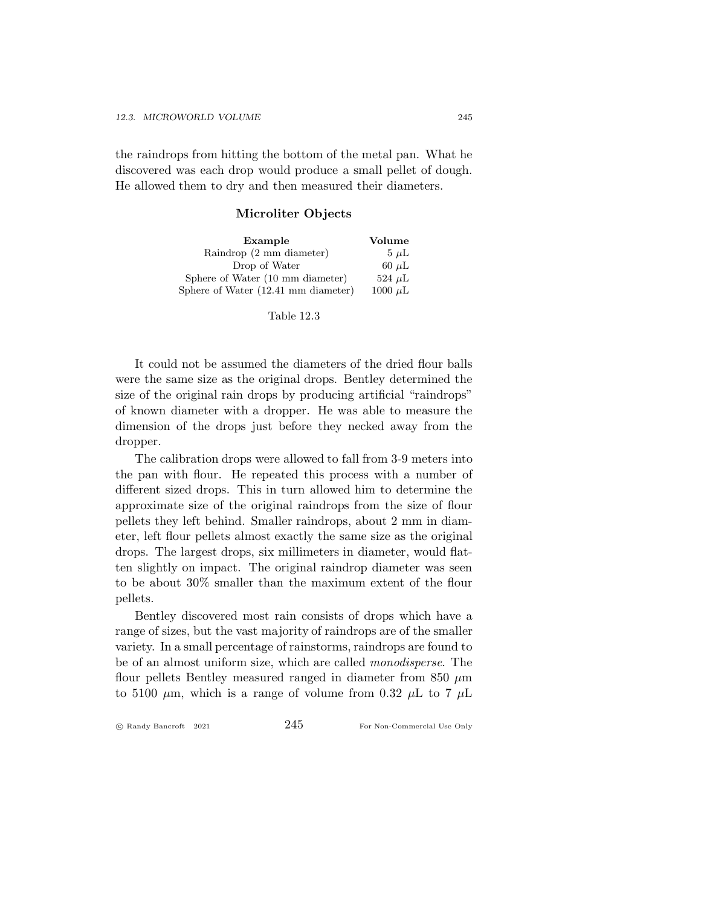the raindrops from hitting the bottom of the metal pan. What he discovered was each drop would produce a small pellet of dough. He allowed them to dry and then measured their diameters.

#### Microliter Objects

| Example                             | Volume       |
|-------------------------------------|--------------|
| Raindrop (2 mm diameter)            | $5 \mu L$    |
| Drop of Water                       | $60 \mu L$   |
| Sphere of Water (10 mm diameter)    | 524 $\mu$ L  |
| Sphere of Water (12.41 mm diameter) | $1000 \mu L$ |

Table 12.3

It could not be assumed the diameters of the dried flour balls were the same size as the original drops. Bentley determined the size of the original rain drops by producing artificial "raindrops" of known diameter with a dropper. He was able to measure the dimension of the drops just before they necked away from the dropper.

The calibration drops were allowed to fall from 3-9 meters into the pan with flour. He repeated this process with a number of different sized drops. This in turn allowed him to determine the approximate size of the original raindrops from the size of flour pellets they left behind. Smaller raindrops, about 2 mm in diameter, left flour pellets almost exactly the same size as the original drops. The largest drops, six millimeters in diameter, would flatten slightly on impact. The original raindrop diameter was seen to be about 30% smaller than the maximum extent of the flour pellets.

Bentley discovered most rain consists of drops which have a range of sizes, but the vast majority of raindrops are of the smaller variety. In a small percentage of rainstorms, raindrops are found to be of an almost uniform size, which are called monodisperse. The flour pellets Bentley measured ranged in diameter from  $850 \mu m$ to 5100  $\mu$ m, which is a range of volume from 0.32  $\mu$ L to 7  $\mu$ L

 $\alpha$  Randy Bancroft 2021 245 For Non-Commercial Use Only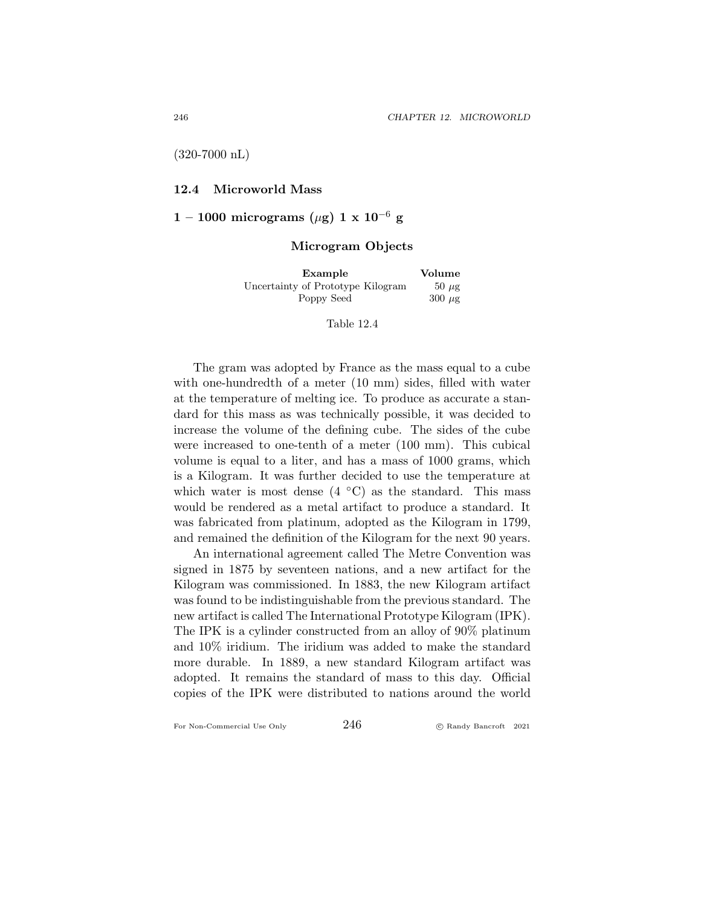(320-7000 nL)

#### 12.4 Microworld Mass

1 – 1000 micrograms (μg) 1 x 10<sup>-6</sup> g

#### Microgram Objects

| Example                           | Volume      |
|-----------------------------------|-------------|
| Uncertainty of Prototype Kilogram | $50 \mu$ g  |
| Poppy Seed                        | $300 \mu$ g |

#### Table 12.4

The gram was adopted by France as the mass equal to a cube with one-hundredth of a meter (10 mm) sides, filled with water at the temperature of melting ice. To produce as accurate a standard for this mass as was technically possible, it was decided to increase the volume of the defining cube. The sides of the cube were increased to one-tenth of a meter (100 mm). This cubical volume is equal to a liter, and has a mass of 1000 grams, which is a Kilogram. It was further decided to use the temperature at which water is most dense  $(4 \text{ °C})$  as the standard. This mass would be rendered as a metal artifact to produce a standard. It was fabricated from platinum, adopted as the Kilogram in 1799, and remained the definition of the Kilogram for the next 90 years.

An international agreement called The Metre Convention was signed in 1875 by seventeen nations, and a new artifact for the Kilogram was commissioned. In 1883, the new Kilogram artifact was found to be indistinguishable from the previous standard. The new artifact is called The International Prototype Kilogram (IPK). The IPK is a cylinder constructed from an alloy of 90% platinum and 10% iridium. The iridium was added to make the standard more durable. In 1889, a new standard Kilogram artifact was adopted. It remains the standard of mass to this day. Official copies of the IPK were distributed to nations around the world

For Non-Commercial Use Only 246 (C) Randy Bancroft 2021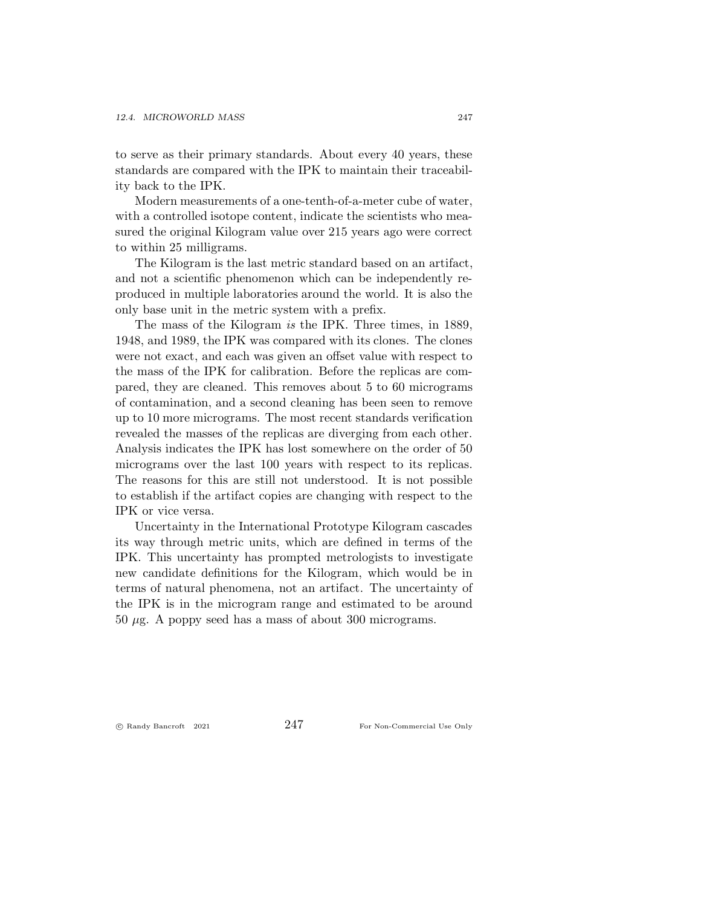to serve as their primary standards. About every 40 years, these standards are compared with the IPK to maintain their traceability back to the IPK.

Modern measurements of a one-tenth-of-a-meter cube of water, with a controlled isotope content, indicate the scientists who measured the original Kilogram value over 215 years ago were correct to within 25 milligrams.

The Kilogram is the last metric standard based on an artifact, and not a scientific phenomenon which can be independently reproduced in multiple laboratories around the world. It is also the only base unit in the metric system with a prefix.

The mass of the Kilogram is the IPK. Three times, in 1889, 1948, and 1989, the IPK was compared with its clones. The clones were not exact, and each was given an offset value with respect to the mass of the IPK for calibration. Before the replicas are compared, they are cleaned. This removes about 5 to 60 micrograms of contamination, and a second cleaning has been seen to remove up to 10 more micrograms. The most recent standards verification revealed the masses of the replicas are diverging from each other. Analysis indicates the IPK has lost somewhere on the order of 50 micrograms over the last 100 years with respect to its replicas. The reasons for this are still not understood. It is not possible to establish if the artifact copies are changing with respect to the IPK or vice versa.

Uncertainty in the International Prototype Kilogram cascades its way through metric units, which are defined in terms of the IPK. This uncertainty has prompted metrologists to investigate new candidate definitions for the Kilogram, which would be in terms of natural phenomena, not an artifact. The uncertainty of the IPK is in the microgram range and estimated to be around  $50 \mu$ g. A poppy seed has a mass of about 300 micrograms.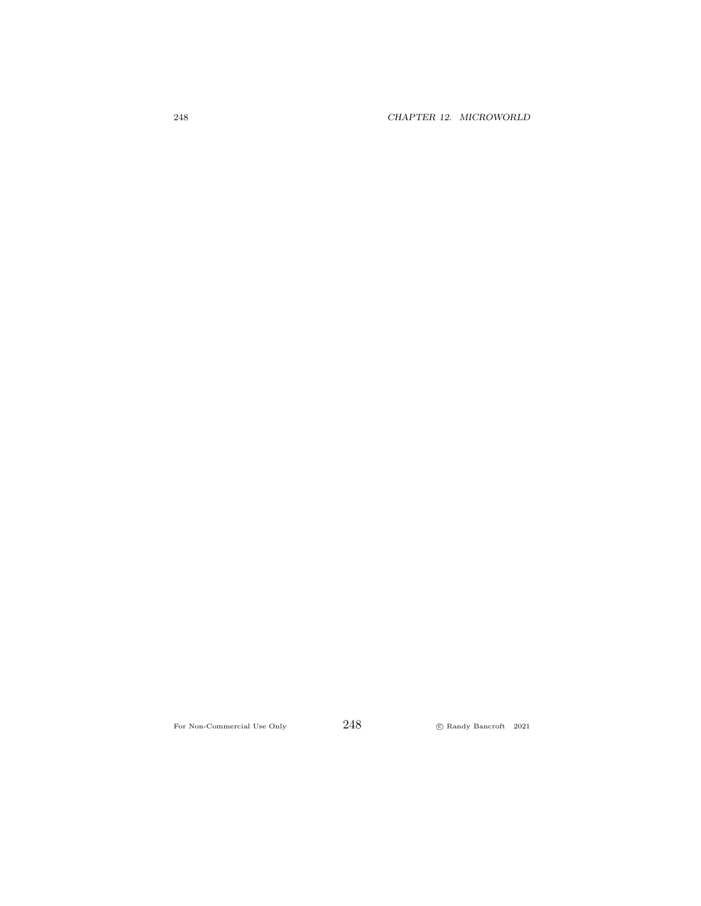248 CHAPTER 12. MICROWORLD

For Non-Commercial Use Only 248 © Randy Bancroft 2021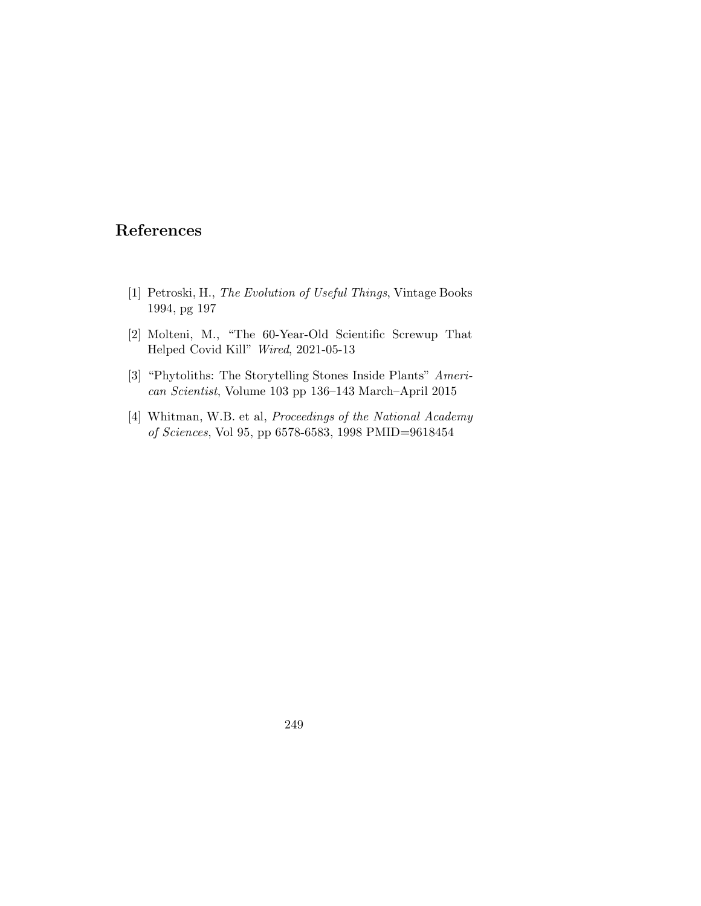## References

- [1] Petroski, H., The Evolution of Useful Things, Vintage Books 1994, pg 197
- [2] Molteni, M., "The 60-Year-Old Scientific Screwup That Helped Covid Kill" Wired, 2021-05-13
- [3] "Phytoliths: The Storytelling Stones Inside Plants" American Scientist, Volume 103 pp 136–143 March–April 2015
- [4] Whitman, W.B. et al, Proceedings of the National Academy of Sciences, Vol 95, pp 6578-6583, 1998 PMID=9618454

249